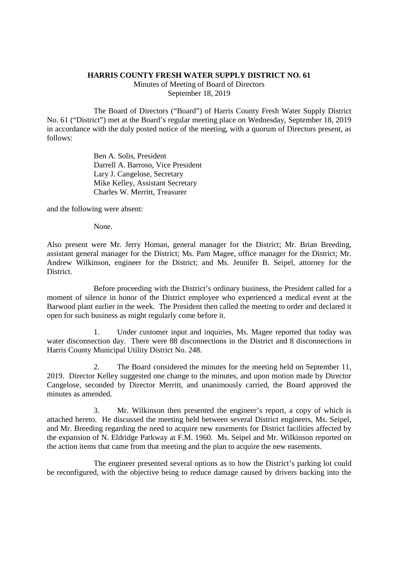## **HARRIS COUNTY FRESH WATER SUPPLY DISTRICT NO. 61**

Minutes of Meeting of Board of Directors September 18, 2019

The Board of Directors ("Board") of Harris County Fresh Water Supply District No. 61 ("District") met at the Board's regular meeting place on Wednesday, September 18, 2019 in accordance with the duly posted notice of the meeting, with a quorum of Directors present, as follows:

> Ben A. Solis, President Darrell A. Barroso, Vice President Lary J. Cangelose, Secretary Mike Kelley, Assistant Secretary Charles W. Merritt, Treasurer

and the following were absent:

None.

Also present were Mr. Jerry Homan, general manager for the District; Mr. Brian Breeding, assistant general manager for the District; Ms. Pam Magee, office manager for the District; Mr. Andrew Wilkinson, engineer for the District; and Ms. Jennifer B. Seipel, attorney for the District.

Before proceeding with the District's ordinary business, the President called for a moment of silence in honor of the District employee who experienced a medical event at the Barwood plant earlier in the week. The President then called the meeting to order and declared it open for such business as might regularly come before it.

1. Under customer input and inquiries, Ms. Magee reported that today was water disconnection day. There were 88 disconnections in the District and 8 disconnections in Harris County Municipal Utility District No. 248.

2. The Board considered the minutes for the meeting held on September 11, 2019. Director Kelley suggested one change to the minutes, and upon motion made by Director Cangelose, seconded by Director Merritt, and unanimously carried, the Board approved the minutes as amended.

3. Mr. Wilkinson then presented the engineer's report, a copy of which is attached hereto. He discussed the meeting held between several District engineers, Ms. Seipel, and Mr. Breeding regarding the need to acquire new easements for District facilities affected by the expansion of N. Eldridge Parkway at F.M. 1960. Ms. Seipel and Mr. Wilkinson reported on the action items that came from that meeting and the plan to acquire the new easements.

The engineer presented several options as to how the District's parking lot could be reconfigured, with the objective being to reduce damage caused by drivers backing into the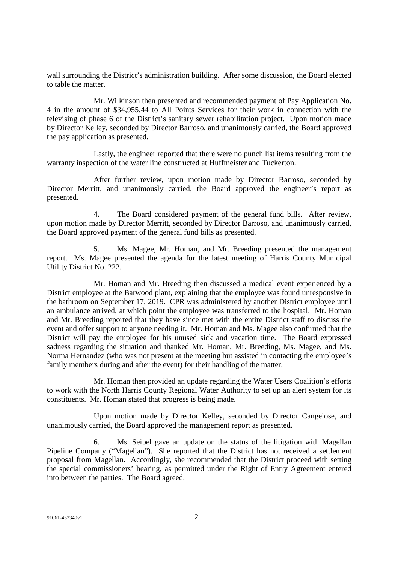wall surrounding the District's administration building. After some discussion, the Board elected to table the matter.

Mr. Wilkinson then presented and recommended payment of Pay Application No. 4 in the amount of \$34,955.44 to All Points Services for their work in connection with the televising of phase 6 of the District's sanitary sewer rehabilitation project. Upon motion made by Director Kelley, seconded by Director Barroso, and unanimously carried, the Board approved the pay application as presented.

Lastly, the engineer reported that there were no punch list items resulting from the warranty inspection of the water line constructed at Huffmeister and Tuckerton.

After further review, upon motion made by Director Barroso, seconded by Director Merritt, and unanimously carried, the Board approved the engineer's report as presented.

4. The Board considered payment of the general fund bills. After review, upon motion made by Director Merritt, seconded by Director Barroso, and unanimously carried, the Board approved payment of the general fund bills as presented.

5. Ms. Magee, Mr. Homan, and Mr. Breeding presented the management report. Ms. Magee presented the agenda for the latest meeting of Harris County Municipal Utility District No. 222.

Mr. Homan and Mr. Breeding then discussed a medical event experienced by a District employee at the Barwood plant, explaining that the employee was found unresponsive in the bathroom on September 17, 2019. CPR was administered by another District employee until an ambulance arrived, at which point the employee was transferred to the hospital. Mr. Homan and Mr. Breeding reported that they have since met with the entire District staff to discuss the event and offer support to anyone needing it. Mr. Homan and Ms. Magee also confirmed that the District will pay the employee for his unused sick and vacation time. The Board expressed sadness regarding the situation and thanked Mr. Homan, Mr. Breeding, Ms. Magee, and Ms. Norma Hernandez (who was not present at the meeting but assisted in contacting the employee's family members during and after the event) for their handling of the matter.

Mr. Homan then provided an update regarding the Water Users Coalition's efforts to work with the North Harris County Regional Water Authority to set up an alert system for its constituents. Mr. Homan stated that progress is being made.

Upon motion made by Director Kelley, seconded by Director Cangelose, and unanimously carried, the Board approved the management report as presented.

6. Ms. Seipel gave an update on the status of the litigation with Magellan Pipeline Company ("Magellan"). She reported that the District has not received a settlement proposal from Magellan. Accordingly, she recommended that the District proceed with setting the special commissioners' hearing, as permitted under the Right of Entry Agreement entered into between the parties. The Board agreed.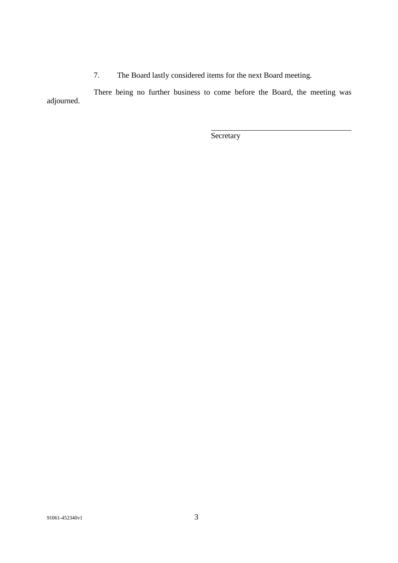7. The Board lastly considered items for the next Board meeting.

There being no further business to come before the Board, the meeting was adjourned.

Secretary